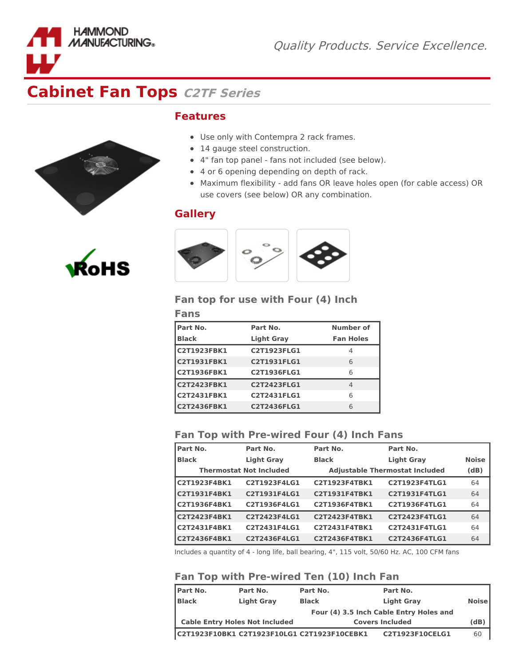

## **Features**

- Use only with Contempra 2 rack frames.
- 14 gauge steel construction.
- 4" fan top panel fans not included (see below).
- 4 or 6 opening depending on depth of rack.
- Maximum flexibility add fans OR leave holes open (for cable access) OR use covers (see below) OR any combination.

## **Gallery**



#### **Fan top for use with Four (4) Inch**

| Fans               |                    |                  |
|--------------------|--------------------|------------------|
| Part No.           | Part No.           | Number of        |
| <b>Black</b>       | <b>Light Gray</b>  | <b>Fan Holes</b> |
| <b>C2T1923FBK1</b> | C2T1923FLG1        | 4                |
| <b>C2T1931FBK1</b> | <b>C2T1931FLG1</b> | 6                |
| <b>C2T1936FBK1</b> | C2T1936FLG1        | 6                |
| <b>C2T2423FBK1</b> | <b>C2T2423FLG1</b> | 4                |
| <b>C2T2431FBK1</b> | C2T2431FLG1        | 6                |
| <b>C2T2436FBK1</b> | C2T2436FLG1        | 6                |

#### **Fan Top with Pre-wired Four (4) Inch Fans**

| <b>Part No.</b>     | Part No.                       | Part No.             | Part No.                              |              |
|---------------------|--------------------------------|----------------------|---------------------------------------|--------------|
| <b>Black</b>        | <b>Light Gray</b>              | <b>Black</b>         | <b>Light Gray</b>                     | <b>Noise</b> |
|                     | <b>Thermostat Not Included</b> |                      | <b>Adjustable Thermostat Included</b> | (dB)         |
| <b>C2T1923F4BK1</b> | C2T1923F4LG1                   | C2T1923F4TBK1        | C2T1923F4TLG1                         | 64           |
| C2T1931F4BK1        | C2T1931F4LG1                   | <b>C2T1931F4TBK1</b> | C2T1931F4TLG1                         | 64           |
| <b>C2T1936F4BK1</b> | C2T1936F4LG1                   | <b>C2T1936F4TBK1</b> | C2T1936F4TLG1                         | 64           |
| C2T2423F4BK1        | C2T2423F4LG1                   | C2T2423F4TBK1        | C2T2423F4TLG1                         | 64           |
| C2T2431F4BK1        | C2T2431F4LG1                   | C2T2431F4TBK1        | C2T2431F4TLG1                         | 64           |
| <b>C2T2436F4BK1</b> | C2T2436F4LG1                   | C2T2436F4TBK1        | C2T2436F4TLG1                         | 64           |

Includes a quantity of 4 - long life, ball bearing, 4", 115 volt, 50/60 Hz. AC, 100 CFM fans

### **Fan Top with Pre-wired Ten (10) Inch Fan**

| <b>IPart No.</b> | Part No.                                    | Part No.     | Part No.                                |              |
|------------------|---------------------------------------------|--------------|-----------------------------------------|--------------|
| <b>Black</b>     | <b>Light Gray</b>                           | <b>Black</b> | <b>Light Gray</b>                       | <b>Noise</b> |
|                  |                                             |              | Four (4) 3.5 Inch Cable Entry Holes and |              |
|                  | <b>Cable Entry Holes Not Included</b>       |              | <b>Covers Included</b>                  | (dB)         |
|                  | C2T1923F10BK1 C2T1923F10LG1 C2T1923F10CEBK1 |              | C2T1923F10CELG1                         | 60           |



**HAMMOND MANUFACTURING**